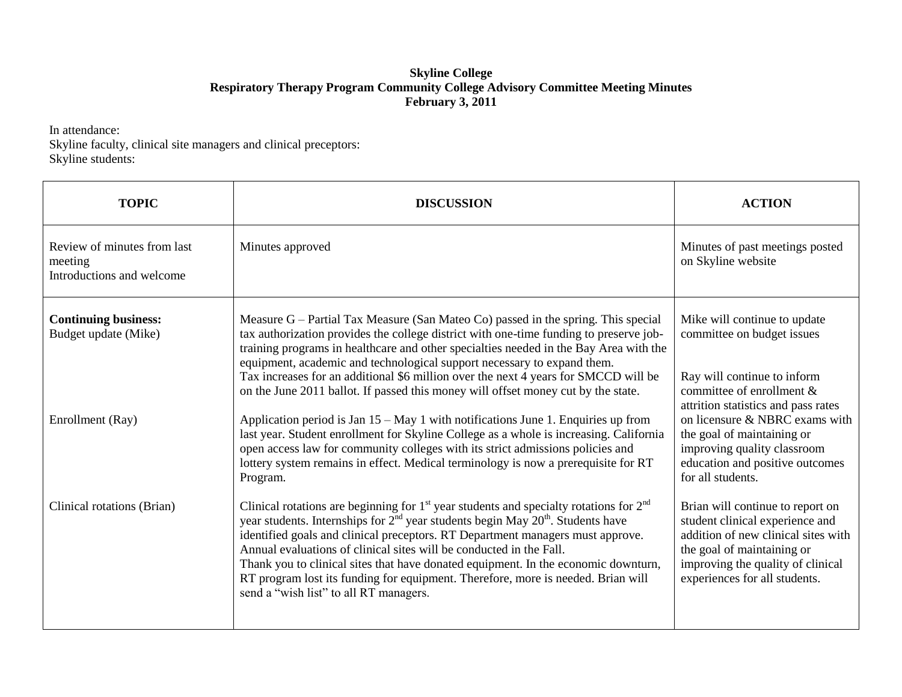## **Skyline College Respiratory Therapy Program Community College Advisory Committee Meeting Minutes February 3, 2011**

In attendance: Skyline faculty, clinical site managers and clinical preceptors: Skyline students:

| <b>TOPIC</b>                                                        | <b>DISCUSSION</b>                                                                                                                                                                                                                                                                                                                                                                                                                                                                                                                                                    | <b>ACTION</b>                                                                                                                                                                                                  |
|---------------------------------------------------------------------|----------------------------------------------------------------------------------------------------------------------------------------------------------------------------------------------------------------------------------------------------------------------------------------------------------------------------------------------------------------------------------------------------------------------------------------------------------------------------------------------------------------------------------------------------------------------|----------------------------------------------------------------------------------------------------------------------------------------------------------------------------------------------------------------|
| Review of minutes from last<br>meeting<br>Introductions and welcome | Minutes approved                                                                                                                                                                                                                                                                                                                                                                                                                                                                                                                                                     | Minutes of past meetings posted<br>on Skyline website                                                                                                                                                          |
| <b>Continuing business:</b><br>Budget update (Mike)                 | Measure $G -$ Partial Tax Measure (San Mateo Co) passed in the spring. This special<br>tax authorization provides the college district with one-time funding to preserve job-<br>training programs in healthcare and other specialties needed in the Bay Area with the<br>equipment, academic and technological support necessary to expand them.<br>Tax increases for an additional \$6 million over the next 4 years for SMCCD will be<br>on the June 2011 ballot. If passed this money will offset money cut by the state.                                        | Mike will continue to update<br>committee on budget issues<br>Ray will continue to inform<br>committee of enrollment &                                                                                         |
| Enrollment (Ray)                                                    | Application period is Jan 15 - May 1 with notifications June 1. Enquiries up from<br>last year. Student enrollment for Skyline College as a whole is increasing. California<br>open access law for community colleges with its strict admissions policies and<br>lottery system remains in effect. Medical terminology is now a prerequisite for RT<br>Program.                                                                                                                                                                                                      | attrition statistics and pass rates<br>on licensure & NBRC exams with<br>the goal of maintaining or<br>improving quality classroom<br>education and positive outcomes<br>for all students.                     |
| Clinical rotations (Brian)                                          | Clinical rotations are beginning for $1st$ year students and specialty rotations for $2nd$<br>year students. Internships for $2^{nd}$ year students begin May $20^{th}$ . Students have<br>identified goals and clinical preceptors. RT Department managers must approve.<br>Annual evaluations of clinical sites will be conducted in the Fall.<br>Thank you to clinical sites that have donated equipment. In the economic downturn,<br>RT program lost its funding for equipment. Therefore, more is needed. Brian will<br>send a "wish list" to all RT managers. | Brian will continue to report on<br>student clinical experience and<br>addition of new clinical sites with<br>the goal of maintaining or<br>improving the quality of clinical<br>experiences for all students. |